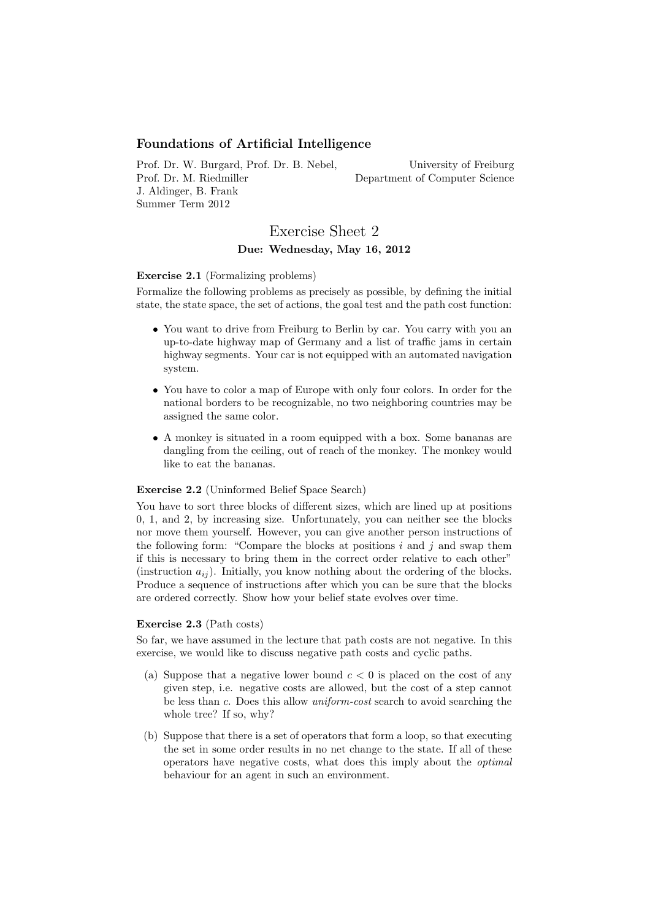## Foundations of Artificial Intelligence

Prof. Dr. W. Burgard, Prof. Dr. B. Nebel, Prof. Dr. M. Riedmiller J. Aldinger, B. Frank Summer Term 2012

University of Freiburg Department of Computer Science

# Exercise Sheet 2 Due: Wednesday, May 16, 2012

### Exercise 2.1 (Formalizing problems)

Formalize the following problems as precisely as possible, by defining the initial state, the state space, the set of actions, the goal test and the path cost function:

- You want to drive from Freiburg to Berlin by car. You carry with you an up-to-date highway map of Germany and a list of traffic jams in certain highway segments. Your car is not equipped with an automated navigation system.
- You have to color a map of Europe with only four colors. In order for the national borders to be recognizable, no two neighboring countries may be assigned the same color.
- A monkey is situated in a room equipped with a box. Some bananas are dangling from the ceiling, out of reach of the monkey. The monkey would like to eat the bananas.

## Exercise 2.2 (Uninformed Belief Space Search)

You have to sort three blocks of different sizes, which are lined up at positions 0, 1, and 2, by increasing size. Unfortunately, you can neither see the blocks nor move them yourself. However, you can give another person instructions of the following form: "Compare the blocks at positions  $i$  and  $j$  and swap them if this is necessary to bring them in the correct order relative to each other" (instruction  $a_{ij}$ ). Initially, you know nothing about the ordering of the blocks. Produce a sequence of instructions after which you can be sure that the blocks are ordered correctly. Show how your belief state evolves over time.

#### Exercise 2.3 (Path costs)

So far, we have assumed in the lecture that path costs are not negative. In this exercise, we would like to discuss negative path costs and cyclic paths.

- (a) Suppose that a negative lower bound  $c < 0$  is placed on the cost of any given step, i.e. negative costs are allowed, but the cost of a step cannot be less than c. Does this allow uniform-cost search to avoid searching the whole tree? If so, why?
- (b) Suppose that there is a set of operators that form a loop, so that executing the set in some order results in no net change to the state. If all of these operators have negative costs, what does this imply about the optimal behaviour for an agent in such an environment.